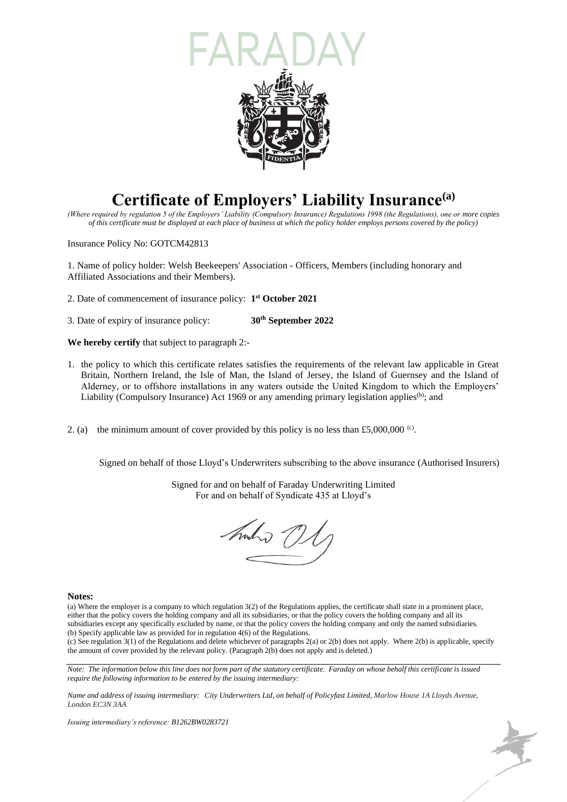

## **Certificate of Employers' Liability Insurance(a)**

*(Where required by regulation 5 of the Employers' Liability (Compulsory Insurance) Regulations 1998 (the Regulations), one or more copies of this certificate must be displayed at each place of business at which the policy holder employs persons covered by the policy)*

Insurance Policy No: GOTCM42813

1. Name of policy holder: Welsh Beekeepers' Association - Officers, Members (including honorary and Affiliated Associations and their Members).

2. Date of commencement of insurance policy: **1 st October 2021**

3. Date of expiry of insurance policy: **30th September 2022**

**We hereby certify** that subject to paragraph 2:-

- 1. the policy to which this certificate relates satisfies the requirements of the relevant law applicable in Great Britain, Northern Ireland, the Isle of Man, the Island of Jersey, the Island of Guernsey and the Island of Alderney, or to offshore installations in any waters outside the United Kingdom to which the Employers' Liability (Compulsory Insurance) Act 1969 or any amending primary legislation applies<sup>(b)</sup>; and
- 2. (a) the minimum amount of cover provided by this policy is no less than £5,000,000  $\degree$ .

Signed on behalf of those Lloyd's Underwriters subscribing to the above insurance (Authorised Insurers)

Signed for and on behalf of Faraday Underwriting Limited For and on behalf of Syndicate 435 at Lloyd's

hmho ()

## **Notes:**

(a) Where the employer is a company to which regulation 3(2) of the Regulations applies, the certificate shall state in a prominent place, either that the policy covers the holding company and all its subsidiaries, or that the policy covers the holding company and all its subsidiaries except any specifically excluded by name, or that the policy covers the holding company and only the named subsidiaries. (b) Specify applicable law as provided for in regulation 4(6) of the Regulations.

(c) See regulation 3(1) of the Regulations and delete whichever of paragraphs 2(a) or 2(b) does not apply. Where 2(b) is applicable, specify the amount of cover provided by the relevant policy. (Paragraph 2(b) does not apply and is deleted.)

*Note: The information below this line does not form part of the statutory certificate. Faraday on whose behalf this certificate is issued require the following information to be entered by the issuing intermediary:*

*Name and address of issuing intermediary: City Underwriters Ltd, on behalf of Policyfast Limited, Marlow House 1A Lloyds Avenue, London EC3N 3AA*

*Issuing intermediary's reference: B1262BW0283721*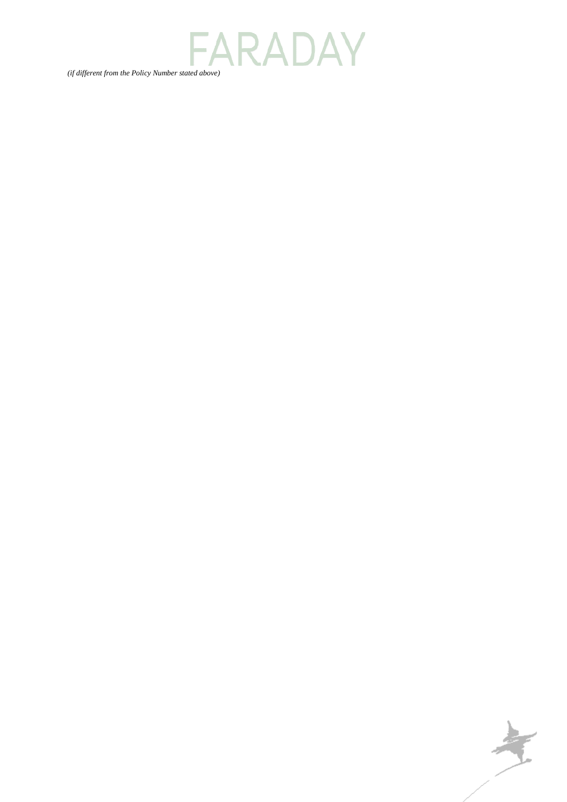*(if different from the Policy Number stated above)*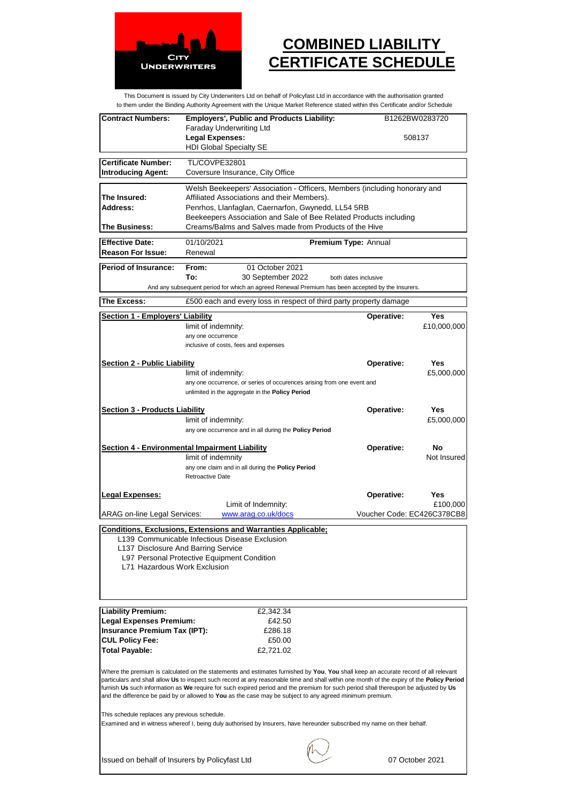

## **COMBINED LIABILITY CERTIFICATE SCHEDULE**

This Document is issued by City Underwriters Ltd on behalf of Policyfast Ltd in accordance with the authorisation granted to them under the Binding Authority Agreement with the Unique Market Reference stated within this Certificate and/or Schedule

| <b>Contract Numbers:</b>                       | <b>Employers', Public and Products Liability:</b>                                                                                                                                                                                                                                 | B1262BW0283720             |             |
|------------------------------------------------|-----------------------------------------------------------------------------------------------------------------------------------------------------------------------------------------------------------------------------------------------------------------------------------|----------------------------|-------------|
|                                                | <b>Faraday Underwriting Ltd</b>                                                                                                                                                                                                                                                   |                            |             |
|                                                | <b>Legal Expenses:</b>                                                                                                                                                                                                                                                            | 508137                     |             |
|                                                | <b>HDI Global Specialty SE</b>                                                                                                                                                                                                                                                    |                            |             |
| <b>Certificate Number:</b>                     | TL/COVPE32801                                                                                                                                                                                                                                                                     |                            |             |
| <b>Introducing Agent:</b>                      | Coversure Insurance, City Office                                                                                                                                                                                                                                                  |                            |             |
|                                                |                                                                                                                                                                                                                                                                                   |                            |             |
|                                                | Welsh Beekeepers' Association - Officers, Members (including honorary and                                                                                                                                                                                                         |                            |             |
| The Insured:<br>Address:                       | Affiliated Associations and their Members).                                                                                                                                                                                                                                       |                            |             |
|                                                | Penrhos, Llanfaglan, Caernarfon, Gwynedd, LL54 5RB<br>Beekeepers Association and Sale of Bee Related Products including                                                                                                                                                           |                            |             |
| The Business:                                  | Creams/Balms and Salves made from Products of the Hive                                                                                                                                                                                                                            |                            |             |
|                                                |                                                                                                                                                                                                                                                                                   |                            |             |
| <b>Effective Date:</b>                         | 01/10/2021                                                                                                                                                                                                                                                                        | Premium Type: Annual       |             |
| <b>Reason For Issue:</b>                       | Renewal                                                                                                                                                                                                                                                                           |                            |             |
| <b>Period of Insurance:</b>                    | From:<br>01 October 2021                                                                                                                                                                                                                                                          |                            |             |
|                                                | To:<br>30 September 2022                                                                                                                                                                                                                                                          | both dates inclusive       |             |
|                                                | And any subsequent period for which an agreed Renewal Premium has been accepted by the Insurers.                                                                                                                                                                                  |                            |             |
| The Excess:                                    | £500 each and every loss in respect of third party property damage                                                                                                                                                                                                                |                            |             |
|                                                |                                                                                                                                                                                                                                                                                   |                            |             |
| Section 1 - Employers' Liability               |                                                                                                                                                                                                                                                                                   | <b>Operative:</b>          | Yes         |
|                                                | limit of indemnity:                                                                                                                                                                                                                                                               |                            | £10,000,000 |
|                                                | any one occurrence                                                                                                                                                                                                                                                                |                            |             |
|                                                | inclusive of costs, fees and expenses                                                                                                                                                                                                                                             |                            |             |
| <b>Section 2 - Public Liability</b>            |                                                                                                                                                                                                                                                                                   | <b>Operative:</b>          | <b>Yes</b>  |
|                                                | limit of indemnity:                                                                                                                                                                                                                                                               |                            | £5,000,000  |
|                                                | any one occurrence, or series of occurences arising from one event and                                                                                                                                                                                                            |                            |             |
|                                                | unlimited in the aggregate in the Policy Period                                                                                                                                                                                                                                   |                            |             |
|                                                |                                                                                                                                                                                                                                                                                   |                            |             |
| <b>Section 3 - Products Liability</b>          |                                                                                                                                                                                                                                                                                   | Operative:                 | <b>Yes</b>  |
|                                                | limit of indemnity:                                                                                                                                                                                                                                                               |                            | £5,000,000  |
|                                                | any one occurrence and in all during the Policy Period                                                                                                                                                                                                                            |                            |             |
|                                                |                                                                                                                                                                                                                                                                                   |                            |             |
|                                                |                                                                                                                                                                                                                                                                                   |                            | No          |
|                                                | <b>Section 4 - Environmental Impairment Liability</b><br>limit of indemnity                                                                                                                                                                                                       | Operative:                 | Not Insured |
|                                                | any one claim and in all during the Policy Period                                                                                                                                                                                                                                 |                            |             |
|                                                | <b>Retroactive Date</b>                                                                                                                                                                                                                                                           |                            |             |
|                                                |                                                                                                                                                                                                                                                                                   |                            |             |
| <b>Legal Expenses:</b>                         |                                                                                                                                                                                                                                                                                   | Operative:                 | Yes         |
|                                                | Limit of Indemnity:                                                                                                                                                                                                                                                               |                            | £100,000    |
| ARAG on-line Legal Services:                   | www.arag.co.uk/docs                                                                                                                                                                                                                                                               | Voucher Code: EC426C378CB8 |             |
|                                                | <b>Conditions, Exclusions, Extensions and Warranties Applicable:</b>                                                                                                                                                                                                              |                            |             |
|                                                | L139 Communicable Infectious Disease Exclusion                                                                                                                                                                                                                                    |                            |             |
| L137 Disclosure And Barring Service            |                                                                                                                                                                                                                                                                                   |                            |             |
|                                                | L97 Personal Protective Equipment Condition                                                                                                                                                                                                                                       |                            |             |
| L71 Hazardous Work Exclusion                   |                                                                                                                                                                                                                                                                                   |                            |             |
|                                                |                                                                                                                                                                                                                                                                                   |                            |             |
|                                                |                                                                                                                                                                                                                                                                                   |                            |             |
|                                                |                                                                                                                                                                                                                                                                                   |                            |             |
| <b>Liability Premium:</b>                      | £2,342.34                                                                                                                                                                                                                                                                         |                            |             |
| <b>Legal Expenses Premium:</b>                 | £42.50                                                                                                                                                                                                                                                                            |                            |             |
| <b>Insurance Premium Tax (IPT):</b>            | £286.18                                                                                                                                                                                                                                                                           |                            |             |
| <b>CUL Policy Fee:</b>                         | £50.00<br>£2,721.02                                                                                                                                                                                                                                                               |                            |             |
| <b>Total Payable:</b>                          |                                                                                                                                                                                                                                                                                   |                            |             |
|                                                |                                                                                                                                                                                                                                                                                   |                            |             |
|                                                | Where the premium is calculated on the statements and estimates furnished by You, You shall keep an accurate record of all relevant<br>particulars and shall allow Us to inspect such record at any reasonable time and shall within one month of the expiry of the Policy Period |                            |             |
|                                                | furnish Us such information as We require for such expired period and the premium for such period shall thereupon be adjusted by Us                                                                                                                                               |                            |             |
|                                                | and the difference be paid by or allowed to You as the case may be subject to any agreed minimum premium.                                                                                                                                                                         |                            |             |
|                                                |                                                                                                                                                                                                                                                                                   |                            |             |
| This schedule replaces any previous schedule.  | Examined and in witness whereof I, being duly authorised by Insurers, have hereunder subscribed my name on their behalf.                                                                                                                                                          |                            |             |
|                                                |                                                                                                                                                                                                                                                                                   |                            |             |
|                                                |                                                                                                                                                                                                                                                                                   |                            |             |
| Issued on behalf of Insurers by Policyfast Ltd |                                                                                                                                                                                                                                                                                   | 07 October 2021            |             |